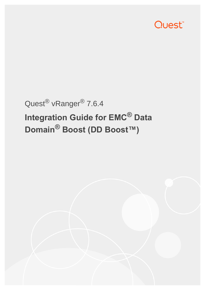

# Quest® vRanger® 7.6.4 **Integration Guide for EMC® Data Domain® Boost (DD Boost™)**

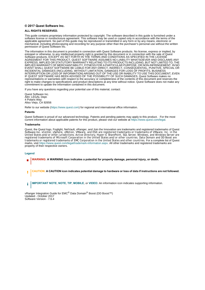#### **© 2017 Quest Software Inc.**

#### **ALL RIGHTS RESERVED.**

This guide contains proprietary information protected by copyright. The software described in this guide is furnished under a software license or nondisclosure agreement. This software may be used or copied only in accordance with the terms of the applicable agreement. No part of this guide may be reproduced or transmitted in any form or by any means, electronic or mechanical, including photocopying and recording for any purpose other than the purchaser's personal use without the written permission of Quest Software Inc.

The information in this document is provided in connection with Quest Software products. No license, express or implied, by estoppel or otherwise, to any intellectual property right is granted by this document or in connection with the sale of Quest<br>Software products. EXCEPT AS SET FORTH IN THE TERMS AND CONDITIONS AS SPECIFIED IN THE LICENSE<br>A EXPRESS, IMPLIED OR STATUTORY WARRANTY RELATING TO ITS PRODUCTS INCLUDING, BUT NOT LIMITED TO, THE IMPLIED WARRANTY OF MERCHANTABILITY, FITNESS FOR A PARTICULAR PURPOSE, OR NON-INFRINGEMENT. IN NO EVENT SHALL QUEST SOFTWARE BE LIABLE FOR ANY DIRECT, INDIRECT, CONSEQUENTIAL, PUNITIVE, SPECIAL OR INCIDENTAL DAMAGES (INCLUDING, WITHOUT LIMITATION, DAMAGES FOR LOSS OF PROFITS, BUSINESS INTERRUPTION OR LOSS OF INFORMATION) ARISING OUT OF THE USE OR INABILITY TO USE THIS DOCUMENT, EVEN IF QUEST SOFTWARE HAS BEEN ADVISED OF THE POSSIBILITY OF SUCH DAMAGES. Quest Software makes no representations or warranties with respect to the accuracy or completeness of the contents of this document and reserves the right to make changes to specifications and product descriptions at any time without notice. Quest Software does not make any commitment to update the information contained in this document.

If you have any questions regarding your potential use of this material, contact:

Quest Software Inc. Attn: LEGAL Dept. 4 Polaris Way Aliso Viejo, CA 92656

Refer to our website [\(https://www.quest.com\)](https://www.quest.com) for regional and international office information.

#### **Patents**

Quest Software is proud of our advanced technology. Patents and pending patents may apply to this product. For the most current information about applicable patents for this product, please visit our website at <https://www.quest.com/legal>.

#### **Trademarks**

Quest, the Quest logo, Foglight, NetVault, vRanger, and Join the Innovation are trademarks and registered trademarks of Quest Software Inc. vCenter, vSphere, vMotion, VMware, and ESXi are registered trademarks or trademarks of VMware, Inc. in the<br>United States and/or other jurisdictions. Active Directory, Hyper-V, SharePoint, SQL Server, Windows, trademarks or registered trademarks of EMC Corporation in the United States and other countries. For a complete list of Quest marks, visit<https://www.quest.com/legal/trademark-information.aspx>. All other trademarks and registered trademarks are property of their respective owners.

#### **Legend**

**WARNING: A WARNING icon indicates a potential for property damage, personal injury, or death.**

**CAUTION: A CAUTION icon indicates potential damage to hardware or loss of data if instructions are not followed.** Ţ

**IMPORTANT NOTE**, **NOTE**, **TIP**, **MOBILE**, or **VIDEO:** An information icon indicates supporting information.i

vRanger Integration Guide for EMC<sup>®</sup> Data Domain<sup>®</sup> Boost (DD Boost<sup>™</sup>) Updated - October 2017 Software Version - 7.6.4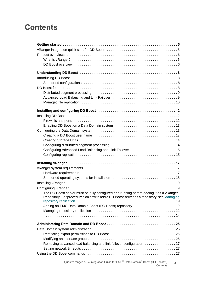# **Contents**

| The DD Boost server must be fully configured and running before adding it as a vRanger<br>Repository. For procedures on how to add a DD Boost server as a repository, see Managing |
|------------------------------------------------------------------------------------------------------------------------------------------------------------------------------------|
|                                                                                                                                                                                    |
| Adding an EMC Data Domain Boost (DD Boost) repository 19                                                                                                                           |
|                                                                                                                                                                                    |
|                                                                                                                                                                                    |
|                                                                                                                                                                                    |
|                                                                                                                                                                                    |
|                                                                                                                                                                                    |
|                                                                                                                                                                                    |
| Removing advanced load balancing and link failover configuration 27                                                                                                                |
|                                                                                                                                                                                    |

Quest vRanger 7.6.4 Integration Guide for EMC® Data Domain® Boost (DD Boost™) Contents **3**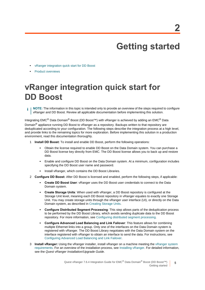# **Getting started**

- <span id="page-4-0"></span>**•** [vRanger integration quick start for DD Boost](#page-4-1)
- **•** [Product overviews](#page-5-0)

# <span id="page-4-1"></span>**vRanger integration quick start for DD Boost**

**NOTE:** The information in this topic is intended only to provide an overview of the steps required to configure ÷ vRanger and DD Boost. Review all applicable documentation before implementing this solution.

Integrating EMC® Data Domain® Boost (DD Boost™) with vRanger is achieved by adding an EMC® Data Domain<sup>®</sup> appliance running DD Boost to vRanger as a repository. Backups written to that repository are deduplicated according to your configuration. The following steps describe the integration process at a high level, and provide links to the remaining topics for more exploration. Before implementing this solution in a production environment, read this documentation thoroughly.

- 1 **Install DD Boost:** To install and enable DD Boost, perform the following operations:
	- **▪** Obtain the license required to enable DD Boost on the Data Domain system. You can purchase a DD Boost license key directly from EMC. The DD Boost license allows you to back up and restore data.
	- **▪** Enable and configure DD Boost on the Data Domain system. At a minimum, configuration includes specifying the DD Boost user name and password.
	- **▪** Install vRanger, which contains the DD Boost Libraries.
- 2 **Configure DD Boost:** After DD Boost is licensed and enabled, perform the following steps, if applicable:
	- **Create DD Boost User: vRanger uses the DD Boost user credentials to connect to the Data** Domain system.
	- **Create Storage Units:** When used with vRanger, a DD Boost repository is configured at the Storage Unit level, meaning each DD Boost repository in vRanger equates to exactly one Storage Unit. You may create storage units through the vRanger user interface (UI), or directly on the Data Domain system, as described in [Creating Storage Units](#page-13-2).
	- **▪ Configure Distributed Segment Processing**: This step allows parts of the deduplication process to be performed by the DD Boost Library, which avoids sending duplicate data to the DD Boost repository. For more information, see [Configuring distributed segment processing](#page-13-3).
	- **▪ Configure Advanced Load Balancing and Link Failover**: This feature allows for combining multiple Ethernet links into a group. Only one of the interfaces on the Data Domain system is registered with vRanger. The DD Boost Library negotiates with the Data Domain system on the interface registered with vRanger to obtain an interface to send the data. For instructions, see [Configuring Advanced Load Balancing and Link Failover](#page-14-2).
- 3 **Install vRanger:** Using the vRanger installer, install vRanger on a machine meeting the [vRanger system](#page-16-3)  [requirements](#page-16-3). For an overview of the installation process, see [Installing vRanger](#page-18-4). For detailed information, see the *Quest vRanger Installation/Upgrade Guide*.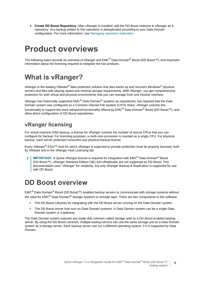4 **Create DD Boost Repository**: After vRanger is installed, add the DD Boost instance to vRanger as a repository. Any backup written to this repository is deduplicated according to your Data Domain configuration. For more information, see [Managing repository replication](#page-21-1).

# <span id="page-5-0"></span>**Product overviews**

The following topics provide an overview of vRanger and EMC® Data Domain® Boost (DD Boost™), and important information about the licensing required to integrate the two products.

## <span id="page-5-1"></span>**What is vRanger?**

vRanger is the leading VMware<sup>®</sup> data protection solution that also backs up and recovers Windows<sup>®</sup> physical servers and files with blazing speed and minimal storage requirements. With vRanger, you get comprehensive protection for both virtual and physical environments that you can manage from one intuitive interface.

vRanger has historically supported EMC<sup>®</sup> Data Domain<sup>®</sup> systems as repositories, but required that the Data Domain system was configured as a Common Internet File System (CIFS) share. vRanger extends this functionality to support the more advanced functionality offered by EMC® Data Domain® Boost (DD Boost™), and allow direct configuration of DD Boost repositories.

### **vRanger licensing**

For virtual machine (VM) backup, a license for vRanger controls the number of source CPUs that you can configure for backup. For licensing purposes, a multi-core processor is counted as a single CPU. For physical backup, each server protected consumes one physical backup license.

Every VMware® ESXi™ host for which vRanger is expected to provide protection must be properly licensed, both by VMware and in the vRanger Host Licensing tab.

**IMPORTANT:** A Quest vRanger license is required for integration with EMC<sup>®</sup> Data Domain<sup>®</sup> Boost (DD Boost™). vRanger Standard Edition (SE) and vReplicator are not supported by DD Boost. This documentation uses "vRanger" for simplicity, but only vRanger Backup & Replication is supported for use with DD Boost.

## <span id="page-5-2"></span>**DD Boost overview**

EMC® Data Domain® Boost (DD Boost™) enables backup servers to communicate with storage systems without the need for EMC<sup>®</sup> Data Domain<sup>®</sup> storage systems to emulate tape. There are two components to the software:

- **•** The DD Boost Libraries for integrating with the DD Boost server running on the Data Domain system.
- **•** The DD Boost server that runs on Data Domain systems. A Data Domain system can be a single Data Domain system or a gateway.

The Data Domain system exposes pre-made disk volumes called storage units to a DD Boost-enabled backup server. By using the DD Boost Libraries, multiple backup servers can use the same storage unit on a Data Domain system as a storage server. Each backup server can run a different operating system, if it is supported by Data Domain.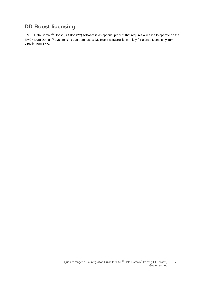### **DD Boost licensing**

EMC® Data Domain® Boost (DD Boost™) software is an optional product that requires a license to operate on the EMC® Data Domain® system. You can purchase a DD Boost software license key for a Data Domain system directly from EMC.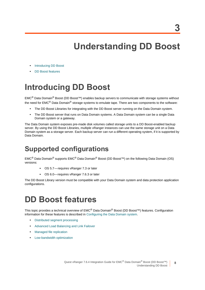# **Understanding DD Boost**

- <span id="page-7-0"></span>**•** [Introducing DD Boost](#page-7-1)
- **•** [DD Boost features](#page-7-3)

# <span id="page-7-1"></span>**Introducing DD Boost**

EMC® Data Domain® Boost (DD Boost™) enables backup servers to communicate with storage systems without the need for EMC<sup>®</sup> Data Domain<sup>®</sup> storage systems to emulate tape. There are two components to the software:

- **•** The DD Boost Libraries for integrating with the DD Boost server running on the Data Domain system.
- **•** The DD Boost server that runs on Data Domain systems. A Data Domain system can be a single Data Domain system or a gateway.

The Data Domain system exposes pre-made disk volumes called storage units to a DD Boost-enabled backup server. By using the DD Boost Libraries, multiple vRanger instances can use the same storage unit on a Data Domain system as a storage server. Each backup server can run a different operating system, if it is supported by Data Domain.

# <span id="page-7-2"></span>**Supported configurations**

EMC® Data Domain® supports EMC® Data Domain® Boost (DD Boost™) on the following Data Domain (OS) versions:

- **▪** OS 5.7 requires vRanger 7.3 or later
- **▪** OS 6.0— requires vRanger 7.6.3 or later

The DD Boost Library version must be compatible with your Data Domain system and data protection application configurations.

# <span id="page-7-3"></span>**DD Boost features**

This topic provides a technical overview of EMC<sup>®</sup> Data Domain<sup>®</sup> Boost (DD Boost<sup>™)</sup> features. Configuration information for these features is described in [Configuring the Data Domain system](#page-12-3).

- **•** [Distributed segment processing](#page-8-0)
- **•** [Advanced Load Balancing and Link Failover](#page-8-1)
- **•** [Managed file replication](#page-9-0)
- **•** [Low-bandwidth optimization](#page-10-0)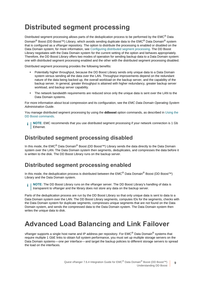## <span id="page-8-2"></span><span id="page-8-0"></span>**Distributed segment processing**

Distributed segment processing allows parts of the deduplication process to be performed by the EMC<sup>®</sup> Data Domain<sup>®</sup> Boost (DD Boost<sup>™</sup>) Library, which avoids sending duplicate data to the EMC<sup>®</sup> Data Domain<sup>®</sup> system that is configured as a vRanger repository. The option to distribute the processing is enabled or disabled on the Data Domain system; for more information, see [Configuring distributed segment processing.](#page-13-3) The DD Boost Library negotiates with the Data Domain system for the current setting of the option and behaves appropriately. Therefore, the DD Boost Library offers two modes of operation for sending backup data to a Data Domain system: one with distributed segment processing enabled and the other with the distributed segment processing disabled.

Distributed segment processing provides the following benefits:

- **•** Potentially higher throughput, because the DD Boost Library sends only unique data to a Data Domain system versus sending all the data over the LAN. Throughput improvements depend on the redundant nature of the data being backed up, the overall workload on the backup server, and the capability of the backup server. In general, greater throughput is attained with higher redundancy, greater backup server workload, and backup server capability.
- **•** The network bandwidth requirements are reduced since only the unique data is sent over the LAN to the Data Domain systems.

For more information about local compression and its configuration, see the *EMC Data Domain Operating System Administration Guide*.

You manage distributed segment processing by using the **ddboost** option commands, as described in [Using the](#page-26-3)  [DD Boost commands.](#page-26-3)

**NOTE:** EMC recommends that you use distributed segment processing if your network connection is 1 Gb ÷ Ethernet.

### **Distributed segment processing disabled**

In this mode, the EMC® Data Domain® Boost (DD Boost™) Library sends the data directly to the Data Domain system over the LAN. The Data Domain system then segments, deduplicates, and compresses the data before it is written to the disk. The DD Boost Library runs on the backup server.

### **Distributed segment processing enabled**

In this mode, the deduplication process is distributed between the EMC<sup>®</sup> Data Domain<sup>®</sup> Boost (DD Boost<sup>™</sup>) Library and the Data Domain system.

**i** | NOTE: The DD Boost Library runs on the vRanger server. The DD Boost Library's handling of data is transparent to vRanger and the library does not store any data on the backup server.

Parts of the deduplication process are run by the DD Boost Library so that only unique data is sent to data to a Data Domain system over the LAN. The DD Boost Library segments, computes IDs for the segments, checks with the Data Domain system for duplicate segments, compresses unique segments that are not found on the Data Domain system, and sends the compressed data to the Data Domain system. The Data Domain system then writes the unique data to disk.

## <span id="page-8-1"></span>**Advanced Load Balancing and Link Failover**

vRanger supports a single host name and IP address per repository. For EMC<sup>®</sup> Data Domain<sup>®</sup> systems that require multiple 1 GbE links to obtain full system performance, you must set up multiple storage servers on the Data Domain systems — one per interface — and target the backup policies to different storage servers to spread the load on the interfaces.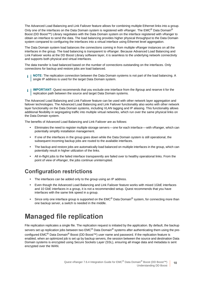The Advanced Load Balancing and Link Failover feature allows for combining multiple Ethernet links into a group. Only one of the interfaces on the Data Domain system is registered with vRanger. The EMC® Data Domain® Boost (DD Boost™) Library negotiates with the Data Domain system on the interface registered with vRanger to obtain an interface to send the data. The load balancing provides higher physical throughput to the Data Domain system compared to configuring the interfaces into a virtual interface using Ethernet level aggregation.

The Data Domain system load balances the connections coming in from multiple vRanger instances on all the interfaces in the group. The load balancing is transparent to vRanger. Because Advanced Load Balancing and Link Failover works at the DD Boost Library software layer, it is seamless to the underlying network connectivity and supports both physical and virtual interfaces.

The data transfer is load balanced based on the number of connections outstanding on the interfaces. Only connections for backup and restore jobs are load balanced.

- **NOTE:** The replication connection between the Data Domain systems is not part of the load balancing. A single IP address is used for the target Data Domain system.
- **IMPORTANT:** Quest recommends that you exclude one interface from the ifgroup and reserve it for the ÷ replication path between the source and target Data Domain systems.

The Advanced Load Balancing and Link Failover feature can be used with other network layer aggregation and failover technologies. The Advanced Load Balancing and Link Failover functionality also works with other network layer functionality on the Data Domain systems, including VLAN tagging and IP aliasing. This functionality allows additional flexibility in segregating traffic into multiple virtual networks, which run over the same physical links on the Data Domain system.

The benefits of Advanced Load Balancing and Link Failover are as follows:

- **•** Eliminates the need to register multiple storage servers one for each interface with vRanger, which can potentially simplify installation management.
- **•** If one of the interfaces in the group goes down while the Data Domain system is still operational, the subsequent incoming backup jobs are routed to the available interfaces.
- **•** The backup and restore jobs are automatically load balanced on multiple interfaces in the group, which can potentially result in higher utilization of the links.
- **•** All in-flight jobs to the failed interface transparently are failed over to healthy operational links. From the point of view of vRanger, the jobs continue uninterrupted.

### **Configuration restrictions**

- **•** The interfaces can be added only to the group using an IP address.
- **•** Even though the Advanced Load Balancing and Link Failover feature works with mixed 1GbE interfaces and 10 GbE interfaces in a group, it is not a recommended setup. Quest recommends that you have interfaces with the same link speed in a group.
- Since only one interface group is supported on the EMC<sup>®</sup> Data Domain<sup>®</sup> system, for connecting more than one backup server, a switch is needed in the middle.

# <span id="page-9-0"></span>**Managed file replication**

File replication replicates a single file. The replication request is initiated by the application. By default, the backup servers set up replication jobs between two EMC<sup>®</sup> Data Domain<sup>®</sup> systems after authenticating them using the preconfigured EMC<sup>®</sup> Data Domain<sup>®</sup> Boost (DD Boost<sup>™</sup>) user name and password. If the replication feature is enabled, when an optimized job is set up by backup servers, the session between the source and destination Data Domain systems is encrypted using Secure Sockets Layer (SSL), ensuring all image data and metadata is sent encrypted over the WAN.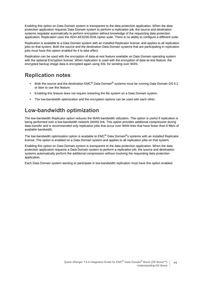Enabling this option on Data Domain system is transparent to the data protection application. When the data protection application requests Data Domain system to perform a replication job, the source and destination systems negotiate automatically to perform encryption without knowledge of the requesting data protection application. Replication uses the ADH-AES256-SHA cipher suite. There is no ability to configure a different suite.

Replication is available to a Data Domain system with an installed Replicator license, and applies to all replication jobs on that system. Both the source and the destination Data Domain systems that are participating in replication jobs must have this option enabled for it to take effect.

Replication can be used with the encryption of data-at-rest feature available on Data Domain operating system with the optional Encryption license. When replication is used with the encryption of data-at-rest feature, the encrypted backup image data is encrypted again using SSL for sending over WAN.

### **Replication notes**

- **•** Both the source and the destination EMC® Data Domain® systems must be running Data Domain OS 5.2 or later to use this feature.
- **•** Enabling this feature does not require restarting the file system on a Data Domain system.
- **•** The low-bandwidth optimization and the encryption options can be used with each other.

### <span id="page-10-0"></span>**Low-bandwidth optimization**

The low-bandwidth Replicator option reduces the WAN bandwidth utilization. This option is useful if replication is being performed over a low-bandwidth network (WAN) link. This option provides additional compression during data transfer and is recommended only replication jobs that occur over WAN links that have fewer than 6 Mb/s of available bandwidth.

The low-bandwidth optimization option is available to EMC<sup>®</sup> Data Domain<sup>®</sup>s systems with an installed Replicator license. The option is enabled on a Data Domain system and applies to all replication jobs on that system.

Enabling this option on Data Domain system is transparent to the data protection application. When the data protection application requests a Data Domain system to perform a replication job, the source and destination systems automatically perform the additional compression without involving the requesting data protection application.

Each Data Domain system wanting to participate in low-bandwidth replication must have this option enabled.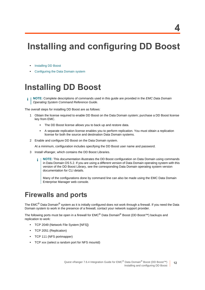# <span id="page-11-0"></span>**Installing and configuring DD Boost**

- **•** [Installing DD Boost](#page-11-1)
- **•** [Configuring the Data Domain system](#page-12-1)

# <span id="page-11-1"></span>**Installing DD Boost**

**NOTE:** Complete descriptions of commands used in this guide are provided in the *EMC Data Domain Operating System Command Reference Guide*.

The overall steps for installing DD Boost are as follows:

- 1 Obtain the license required to enable DD Boost on the Data Domain system; purchase a DD Boost license key from EMC.
	- **▪** The DD Boost license allows you to back up and restore data.
	- **▪** A separate replication license enables you to perform replication. You must obtain a replication license for both the source and destination Data Domain systems.
- 2 Enable and configure DD Boost on the Data Domain system.

At a minimum, configuration includes specifying the DD Boost user name and password.

- 3 Install vRanger, which contains the DD Boost Libraries.
	- **NOTE:** This documentation illustrates the DD Boost configuration on Data Domain using commands ÷ in Data Domain OS 5.2. If you are using a different version of Data Domain operating system with this version of the DD Boost Library, see the corresponding Data Domain operating system version documentation for CLI details.

Many of the configurations done by command line can also be made using the EMC Data Domain Enterprise Manager web console.

## <span id="page-11-2"></span>**Firewalls and ports**

The EMC<sup>®</sup> Data Domain<sup>®</sup> system as it is initially configured does not work through a firewall. If you need the Data Domain system to work in the presence of a firewall, contact your network support provider.

The following ports must be open in a firewall for  $EMC^{\circledR}$  Data Domain<sup>®</sup> Boost (DD Boost<sup>™)</sup> backups and replication to work:

- **•** TCP 2049 (Network File System [NFS])
- **•** TCP 2051 (Replication)
- **•** TCP 111 (NFS portmapper)
- **•** TCP xxx (select a random port for NFS mountd)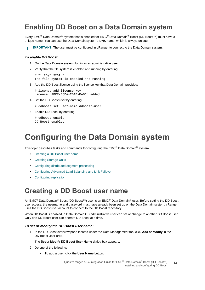## <span id="page-12-0"></span>**Enabling DD Boost on a Data Domain system**

Every EMC® Data Domain® system that is enabled for EMC® Data Domain® Boost (DD Boost™) must have a unique name. You can use the Data Domain system's DNS name, which is always unique.

**I IMPORTANT:** The user must be configured in vRanger to connect to the Data Domain system.

#### *To enable DD Boost:*

- 1 On the Data Domain system, log in as an administrative user.
- 2 Verify that the file system is enabled and running by entering:

```
# filesys status
The file system is enabled and running.
```
3 Add the DD Boost license using the license key that Data Domain provided:

```
# license add license key
License "ABCE-BCDA-CDAB-DABC" added.
```
4 Set the DD Boost user by entering:

# ddboost set user-name ddboost-user

5 Enable DD Boost by entering:

# ddboost enable DD Boost enabled

# <span id="page-12-3"></span><span id="page-12-1"></span>**Configuring the Data Domain system**

This topic describes tasks and commands for configuring the EMC® Data Domain® system.

- **•** [Creating a DD Boost user name](#page-12-2)
- **•** [Creating Storage Units](#page-13-0)
- **•** [Configuring distributed segment processing](#page-13-1)
- **•** [Configuring Advanced Load Balancing and Link Failover](#page-14-0)
- **•** [Configuring replication](#page-14-1)

### <span id="page-12-2"></span>**Creating a DD Boost user name**

An EMC<sup>®</sup> Data Domain<sup>®</sup> Boost (DD Boost<sup>™</sup>) user is an EMC<sup>®</sup> Data Domain<sup>®</sup> user. Before setting the DD Boost user access, the username and password must have already been set up on the Data Domain system. vRanger uses the DD Boost user account to connect to the DD Boost repository.

When DD Boost is enabled, a Data Domain OS administrative user can set or change to another DD Boost user. Only one DD Boost user can operate DD Boost at a time.

#### *To set or modify the DD Boost user name:*

1 In the DD Boost overview pane located under the Data Management tab, click **Add** or **Modify** in the DD Boost User area.

#### The **Set** or **Modify DD Boost User Name** dialog box appears.

- 2 Do one of the following:
	- **▪** To add a user, click the **User Name** button.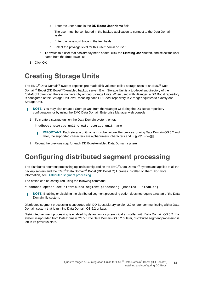a Enter the user name in the **DD Boost User Name** field.

The user must be configured in the backup application to connect to the Data Domain system.

- b Enter the password twice in the text fields.
- c Select the privilege level for this user: admin or user.
- **▪** To switch to a user that has already been added, click the **Existing User** button, and select the user name from the drop-down list.
- 3 Click OK.

## <span id="page-13-2"></span><span id="page-13-0"></span>**Creating Storage Units**

The EMC<sup>®</sup> Data Domain<sup>®</sup> system exposes pre-made disk volumes called storage units to an EMC<sup>®</sup> Data Domain<sup>®</sup> Boost (DD Boost<sup>™</sup>)-enabled backup server. Each Storage Unit is a top-level subdirectory of the **/data/col1** directory; there is no hierarchy among Storage Units. When used with vRanger, a DD Boost repository is configured at the Storage Unit level, meaning each DD Boost repository in vRanger equates to exactly one Storage Unit.

- <sup>1</sup> | NOTE: You may also create a Storage Unit from the vRanger UI during the DD Boost repository configuration, or by using the EMC Data Domain Enterprise Manager web console.
	- 1 To create a storage unit on the Data Domain system, enter:
		- # ddboost storage-unit create storage-unit\_name
		- **IMPORTANT:** Each storage unit name must be unique. For devices running Data Domain OS 5.2 and î. later, the supported characters are alphanumeric characters and  $\sim$ ! $@#\$^{\wedge}$  +  $\rightarrow$  - $\{$ }[],.
	- 2 Repeat the previous step for each DD Boost-enabled Data Domain system.

## <span id="page-13-3"></span><span id="page-13-1"></span>**Configuring distributed segment processing**

The distributed segment processing option is configured on the EMC<sup>®</sup> Data Domain<sup>®</sup> system and applies to all the backup servers and the EMC<sup>®</sup> Data Domain® Boost (DD Boost<sup>™)</sup> Libraries installed on them. For more information, see [Distributed segment processing](#page-8-2).

The option can be configured using the following command:

- # ddboost option set distributed-segment-processing {enabled | disabled}
- **NOTE:** Enabling or disabling the distributed segment processing option does not require a restart of the Data f. Domain file system.

Distributed segment processing is supported with DD Boost Library version 2.2 or later communicating with a Data Domain system that is running Data Domain OS 5.2 or later.

Distributed segment processing is enabled by default on a system initially installed with Data Domain OS 5.2. If a system is upgraded from Data Domain OS 5.0.x to Data Domain OS 5.2 or later, distributed segment processing is left in its previous state.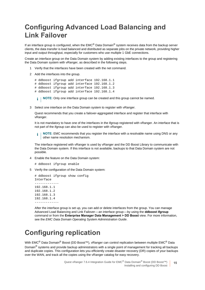# <span id="page-14-2"></span><span id="page-14-0"></span>**Configuring Advanced Load Balancing and Link Failover**

If an interface group is configured, when the EMC® Data Domain<sup>®</sup> system receives data from the backup server clients, the data transfer is load balanced and distributed as separate jobs on the private network, providing higher input and output throughput, especially for customers who use multiple 1 GbE connections.

Create an interface group on the Data Domain system by adding existing interfaces to the group and registering the Data Domain system with vRanger, as described in the following steps.

- 1 Verify that the interfaces have been created with the net command.
- 2 Add the interfaces into the group.

```
# ddboost ifgroup add interface 192.168.1.1
# ddboost ifgroup add interface 192.168.1.2
# ddboost ifgroup add interface 192.168.1.3
# ddboost ifgroup add interface 192.168.1.4
```
**i** | NOTE: Only one interface group can be created and this group cannot be named.

3 Select one interface on the Data Domain system to register with vRanger.

Quest recommends that you create a failover-aggregated interface and register that interface with vRanger.

It is not mandatory to have one of the interfaces in the ifgroup registered with vRanger. An interface that is not part of the ifgroup can also be used to register with vRanger.

**NOTE:** EMC recommends that you register the interface with a resolvable name using DNS or any f. other name resolution mechanism.

The interface registered with vRanger is used by vRanger and the DD Boost Library to communicate with the Data Domain system. If this interface is not available, backups to that Data Domain system are not possible.

4 Enable the feature on the Data Domain system:

```
# ddboost ifgroup enable
```
5 Verify the configuration of the Data Domain system:

```
# ddboost ifgroup show config
Interface
-------------
192.168.1.1
192.168.1.2
192.168.1.3
192.168.1.4
-------------
```
After the interface group is set up, you can add or delete interfaces from the group. You can manage Advanced Load Balancing and Link Failover — an interface group — by using the **ddboost ifgroup** command or from the **Enterprise Manager Data Management > DD Boost** view. For more information, see the *EMC Data Domain Operating System Administration Guide*.

## <span id="page-14-1"></span>**Configuring replication**

With EMC<sup>®</sup> Data Domain<sup>®</sup> Boost (DD Boost<sup>™</sup>), vRanger can control replication between multiple EMC<sup>®</sup> Data Domain<sup>®</sup> systems and provide backup administrators with a single point of management for tracking all backups and duplicate copies. This configuration lets you efficiently create disaster recovery (DR) copies of your backups over the WAN, and track all the copies using the vRanger catalog for easy recovery.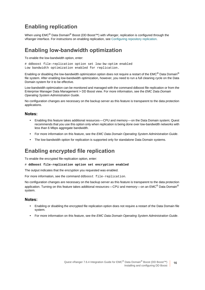### **Enabling replication**

When using EMC<sup>®</sup> Data Domain<sup>®</sup> Boost (DD Boost<sup>™</sup>) with vRanger, replication is configured through the vRanger interface. For instructions on enabling replication, see [Configuring repository replication](#page-19-0).

### **Enabling low-bandwidth optimization**

To enable the low-bandwidth option, enter:

# ddboost file-replication option set low-bw-optim enabled Low bandwidth optimization enabled for replication.

Enabling or disabling the low-bandwidth optimization option does not require a restart of the EMC<sup>®</sup> Data Domain<sup>®</sup> file system. After enabling low-bandwidth optimization, however, you need to run a full cleaning cycle on the Data Domain system for it to be effective.

Low-bandwidth optimization can be monitored and managed with the command ddboost file replication or from the Enterprise Manager Data Management > DD Boost view. For more information, see the *EMC Data Domain Operating System Administration Guide*.

No configuration changes are necessary on the backup server as this feature is transparent to the data protection applications.

#### **Notes:**

- **•** Enabling this feature takes additional resources CPU and memory on the Data Domain system; Quest recommends that you use this option only when replication is being done over low-bandwidth networks with less than 6 Mbps aggregate bandwidth.
- **•** For more information on this feature, see the *EMC Data Domain Operating System Administration Guide*.
- **•** The low-bandwidth option for replication is supported only for standalone Data Domain systems.

### **Enabling encrypted file replication**

To enable the encrypted file-replication option, enter:

# **ddboost file-replication option set encryption enabled**

The output indicates that the encryption you requested was enabled.

For more information, see the command ddboost file-replication.

No configuration changes are necessary on the backup server as this feature is transparent to the data protection application. Turning on this feature takes additional resources—CPU and memory—on an EMC<sup>®</sup> Data Domain<sup>®</sup> system.

#### **Notes:**

- **•** Enabling or disabling the encrypted file replication option does not require a restart of the Data Domain file system.
- **•** For more information on this feature, see the *EMC Data Domain Operating System Administration Guide*.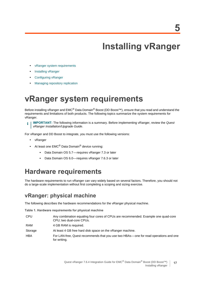# **Installing vRanger**

- <span id="page-16-0"></span>**•** [vRanger system requirements](#page-16-1)
- **•** [Installing vRanger](#page-18-0)
- **•** [Configuring vRanger](#page-18-1)
- **•** [Managing repository replication](#page-21-0)

# <span id="page-16-3"></span><span id="page-16-1"></span>**vRanger system requirements**

Before installing vRanger and EMC<sup>®</sup> Data Domain<sup>®</sup> Boost (DD Boost<sup>™)</sup>, ensure that you read and understand the requirements and limitations of both products. The following topics summarize the system requirements for vRanger.

**IMPORTANT:** The following information is a summary. Before implementing vRanger, review the *Quest vRanger Installation/Upgrade Guide*.

For vRanger and DD Boost to integrate, you must use the following versions:

- **•** vRanger
- **•** At least one EMC® Data Domain® device running:
	- **▪** Data Domain OS 5.7 requires vRanger 7.3 or later
	- **▪** Data Domain OS 6.0— requires vRanger 7.6.3 or later

## <span id="page-16-2"></span>**Hardware requirements**

The hardware requirements to run vRanger can vary widely based on several factors. Therefore, you should not do a large-scale implementation without first completing a scoping and sizing exercise.

### **vRanger: physical machine**

The following describes the hardware recommendations for the vRanger physical machine.

**Table 1. Hardware requirements for physical machine**

| <b>CPU</b> | Any combination equaling four cores of CPUs are recommended. Example one quad-core<br>CPU; two dual-core CPUs. |
|------------|----------------------------------------------------------------------------------------------------------------|
| RAM        | 4 GB RAM is required.                                                                                          |
| Storage    | At least 4 GB free hard disk space on the vRanger machine.                                                     |
| <b>HBA</b> | For LAN-free, Quest recommends that you use two HBAs—one for read operations and one<br>for writing.           |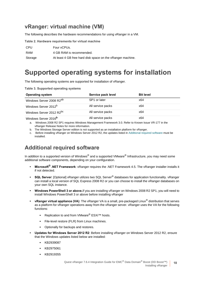### **vRanger: virtual machine (VM)**

The following describes the hardware recommendations for using vRanger in a VM.

**Table 2. Hardware requirements for virtual machine**

| <b>CPU</b> | Four vCPUs.                                                |
|------------|------------------------------------------------------------|
| RAM        | 4 GB RAM is recommended.                                   |
| Storage    | At least 4 GB free hard disk space on the vRanger machine. |

## <span id="page-17-0"></span>**Supported operating systems for installation**

The following operating systems are supported for installation of vRanger.

**Table 3. Supported operating systems**

| <b>Operating system</b>              | Service pack level | <b>Bit level</b> |
|--------------------------------------|--------------------|------------------|
| Windows Server 2008 R2 <sup>ab</sup> | SP1 or later       | x64              |
| Windows Server 2012 <sup>b</sup>     | All service packs  | x64              |
| Windows Server 2012 R2 <sup>bc</sup> | All service packs  | x64              |
| Windows Server 2016 <sup>b</sup>     | All service packs  | x64              |

a. Windows 2008 R2 SP1 requires Windows Management Framework 3.0. Refer to Known Issue VR-177 in the vRanger Release Notes for more information.

b. The Windows Storage Server edition is not supported as an installation platform for vRanger.

c. Before installing vRanger on Windows Server 2012 R2, the updates listed in Additional required software must be installed.

### **Additional required software**

In addition to a supported version of Windows® and a supported VMware<sup>®</sup> Infrastructure, you may need some additional software components, depending on your configuration.

- **Microsoft® .NET Framework**: vRanger requires the .NET Framework 4.5. The vRanger installer installs it if not detected.
- **SQL Server**: [Optional] vRanger utilizes two SQL Server® databases for application functionality. vRanger can install a local version of SQL Express 2008 R2 or you can choose to install the vRanger databases on your own SQL instance.
- **Windows PowerShell 3 or above.**If you are installing vRanger on Windows 2008 R2 SP1, you will need to install WIndows PowerShell 3 or above before installing vRanger
- **vRanger virtual appliance (VA)**: The vRanger VA is a small, pre-packaged Linux® distribution that serves as a platform for vRanger operations away from the vRanger server. vRanger uses the VA for the following functions:
	- **▪** Replication to and from VMware® ESXi™ hosts.
	- **▪** File-level restore (FLR) from Linux machines.
	- Optionally for backups and restores.
- **Updates for Windows Server 2012 R2**: Before installing vRanger on Windows Server 2012 R2, ensure that the Windows updates listed below are installed:
	- **▪** KB2939087
	- **▪** KB2975061
	- **▪** KB2919355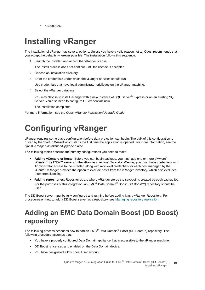**▪** KB2999226

# <span id="page-18-4"></span><span id="page-18-0"></span>**Installing vRanger**

The installation of vRanger has several options. Unless you have a valid reason not to, Quest recommends that you accept the defaults wherever possible. The installation follows this sequence:

1 Launch the installer, and accept the vRanger license.

The install process does not continue until the license is accepted.

- 2 Choose an installation directory.
- 3 Enter the credentials under which the vRanger services should run.

Use credentials that have local administrator privileges on the vRanger machine.

4 Select the vRanger database.

You may choose to install vRanger with a new instance of SQL Server® Express or on an existing SQL Server. You also need to configure DB credentials now.

The installation completes.

For more information, see the *Quest vRanger Installation/Upgrade Guide*.

# <span id="page-18-1"></span>**Configuring vRanger**

vRanger requires some basic configuration before data protection can begin. The bulk of this configuration is driven by the Startup Wizard which starts the first time the application is opened. For more information, see the *Quest vRanger Installation/Upgrade Guide*.

The following topics describe the primary configurations you need to make.

- **Adding vCenters or hosts:** Before you can begin backups, you must add one or more VMware® vCenter™ or ESXi™ servers to the vRanger inventory. To add a vCenter, you must have credentials with Administrator access to the vCenter, along with root-level credentials for each host managed by the vCenter. vRanger provides the option to exclude hosts from the vRanger inventory, which also excludes them from licensing.
- **Adding repositories:** Repositories are where vRanger stores the savepoints created by each backup job. For the purposes of this integration, an EMC<sup>®</sup> Data Domain<sup>®</sup> Boost (DD Boost<sup>™)</sup> repository should be used.

<span id="page-18-2"></span>The DD Boost server must be fully configured and running before adding it as a vRanger Repository. For procedures on how to add a DD Boost server as a repository, see [Managing repository replication](#page-21-0).

# <span id="page-18-3"></span>**Adding an EMC Data Domain Boost (DD Boost) repository**

The following process describes how to add an EMC<sup>®</sup> Data Domain<sup>®</sup> Boost (DD Boost<sup>™)</sup> repository. The following procedure assumes that:

- **•** You have a properly configured Data Domain appliance that is accessible to the vRanger machine.
- **•** DD Boost is licensed and enabled on the Data Domain device.
- **•** You have designated a DD Boost User account.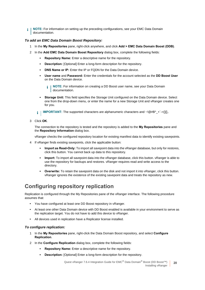**NOTE:** For information on setting up the preceding configurations, see your EMC Data Domain ÷ documentation.

#### *To add an EMC Data Domain Boost Repository:*

- 1 In the **My Repositories** pane, right-click anywhere, and click **Add > EMC Data Domain Boost (DDB)**.
- 2 In the **Add EMC Data Domain Boost Repository** dialog box, complete the following fields:
	- **Repository Name:** Enter a descriptive name for the repository.
	- **▪ Description:** [Optional] Enter a long-form description for the repository.
	- **DNS Name or IP:** Enter the IP or FQDN for the Data Domain device.
	- **▪ User name** and **Password:** Enter the credentials for the account selected as the **DD Boost User**  on the Data Domain device.
		- **NOTE:** For information on creating a DD Boost user name, see your Data Domain ÷ documentation.
	- **Storage Unit:** This field specifies the Storage Unit configured on the Data Domain device. Select one from the drop-down menu, or enter the name for a new Storage Unit and vRanger creates one for you.

**IMPORTANT:** The supported characters are alphanumeric characters and  $\sim$ !@#\$^ +` $\sim$ ={}[],. i I

3 Click **OK**.

The connection to the repository is tested and the repository is added to the **My Repositories** pane and the **Repository Information** dialog box.

vRanger checks the configured repository location for existing manifest data to identify existing savepoints.

- 4 If vRanger finds existing savepoints, click the applicable button:
	- **Import as Read-Only:** To import all savepoint data into the vRanger database, but only for restores, click this button. You cannot back up data to this repository.
	- **Import:** To import all savepoint data into the vRanger database, click this button. vRanger is able to use the repository for backups and restores. vRanger requires read and write access to the directory.
	- **Overwrite:** To retain the savepoint data on the disk and not import it into vRanger, click this button. vRanger ignores the existence of the existing savepoint data and treats the repository as new.

### <span id="page-19-0"></span>**Configuring repository replication**

Replication is configured through the My Repositories pane of the vRanger interface. The following procedure assumes that:

- **•** You have configured at least one DD Boost repository in vRanger.
- **•** At least one other Data Domain device with DD Boost enabled is available in your environment to serve as the replication target. You do not have to add this device to vRanger.
- **•** All devices used in replication have a Replicator license installed.

#### *To configure replication:*

- 1 In the **My Repositories** pane, right-click the Data Domain Boost repository, and select **Configure Replication**.
- 2 In the **Configure Replication** dialog box, complete the following fields:
	- **▪ Repository Name:** Enter a descriptive name for the repository.
	- **▪ Description:** [Optional] Enter a long-form description for the repository.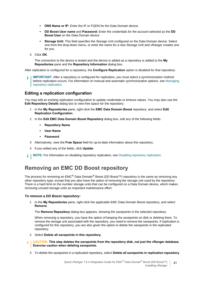- **DNS Name or IP:** Enter the IP or FQDN for the Data Domain device.
- **▪ DD Boost User name** and **Password:** Enter the credentials for the account selected as the **DD Boost User** on the Data Domain device.
- **Storage Unit:** This field specifies the Storage Unit configured on the Data Domain device. Select one from the drop-down menu, or enter the name for a new Storage Unit and vRanger creates one for you.
- 3 Click **OK**.

The connection to the device is tested and the device is added as a repository is added to the **My Repositories** pane and the **Repository Information** dialog box.

After replication is configured for a repository, the **Configure Replication** option is disabled for that repository.

**IMPORTANT:** After a repository is configured for replication, you must select a synchronization method ÷ before replication occurs. For information on manual and automatic synchronization options, see [Managing](#page-21-0)  [repository replication.](#page-21-0)

#### **Editing a replication configuration**

You may edit an existing replication configuration to update credentials or timeout values. You may also use the **Edit Repository Details** dialog box to view free space for the repository.

- 1 In the **My Repositories** pane, right-click the **EMC Data Domain Boost** repository, and select **Edit Replication Configuration**.
- 2 In the **Edit EMC Data Domain Boost Repository** dialog box, edit any of the following fields:
	- **▪ Repository Name**
	- **▪ User Name**
	- **▪ Password**
- 3 Alternatively, view the **Free Space** field for up-to-date information about this repository.
- 4 If you edited any of the fields, click **Update**.

**NOTE:** For information on disabling repository replication, see Disabling repository replication. i I

### **Removing an EMC DD Boost repository**

The process for removing an EMC<sup>®</sup> Data Domain<sup>®</sup> Boost (DD Boost<sup>™)</sup> repository is the same as removing any other repository type, except that you also have the option of removing the storage unit used by the repository. There is a hard limit on the number storage units that can be configured on a Data Domain device, which makes removing unused storage units an important maintenance effort.

#### *To remove a DD Boost repository:*

1 In the **My Repositories** pane, right-click the applicable EMC Data Domain Boost repository, and select **Remove**.

The **Remove Repository** dialog box appears, showing the savepoints in the selected repository.

When removing a repository, you have the option of keeping the savepoints on disk or deleting them. To remove the storage unit associated with the repository, you need to remove the savepoints. If replication is configured for this repository, you are also given the option to delete the savepoints in the replicated repository.

2 Select **Delete all savepoints in this repository**.

**CAUTION: This step deletes the savepoints from the repository disk, not just the vRanger database.**  f, **Exercise caution when deleting savepoints.**

3 To delete the savepoints in a replicated repository, select **Delete all savepoints in replication repository**.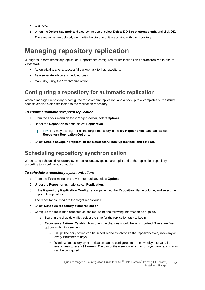- 4 Click **OK**.
- 5 When the **Delete Savepoints** dialog box appears, select **Delete DD Boost storage unit**, and click **OK**. The savepoints are deleted, along with the storage unit associated with the repository.

## <span id="page-21-1"></span><span id="page-21-0"></span>**Managing repository replication**

vRanger supports repository replication. Repositories configured for replication can be synchronized in one of three ways:

- **•** Automatically, after a successful backup task to that repository.
- **•** As a separate job on a scheduled basis.
- **•** Manually, using the Synchronize option.

### **Configuring a repository for automatic replication**

When a managed repository is configured for savepoint replication, and a backup task completes successfully, each savepoint is also replicated to the replication repository.

#### *To enable automatic savepoint replication:*

- 1 From the **Tools** menu on the vRanger toolbar, select **Options**.
- 2 Under the **Repositories** node, select **Replication**.
	- **TIP:** You may also right-click the target repository in the **My Repositories** pane, and select ÷ **Repository Replication Options**.
- 3 Select **Enable savepoint replication for a successful backup job task, and c**lick **Ok**.

### **Scheduling repository synchronization**

When using scheduled repository synchronization, savepoints are replicated to the replication repository according to a configured schedule.

#### *To schedule a repository synchronization:*

- 1 From the **Tools** menu on the vRanger toolbar, select **Options**.
- 2 Under the **Repositories** node, select **Replication**.
- 3 In the **Repository Replication Configuration** pane, find the **Repository Name** column, and select the applicable repository.

The repositories listed are the target repositories.

- 4 Select **Schedule repository synchronization**.
- 5 Configure the replication schedule as desired, using the following information as a guide.
	- a **Start**: In the drop-down list, select the time for the replication task to begin.
	- b **Recurrence Pattern**: Establish how often the changes should be synchronized. There are five options within this section:
		- **▫ Daily**: The daily option can be scheduled to synchronize the repository every weekday or every *x* number of days.
		- **▫ Weekly**: Repository synchronization can be configured to run on weekly intervals, from every week to every 99 weeks. The day of the week on which to run synchronization tasks can be configured.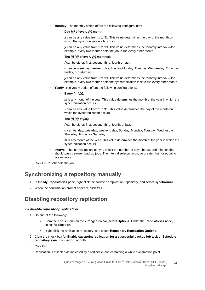**▫ Monthly**: The monthly option offers the following configurations:

#### **- Day** *[x]* **of every** *[y]* **month:**

*x* can be any value from 1 to 31. This value determines the day of the month on which the synchronization job occurs.

*y* can be any value from 1 to 99. This value determines the monthly interval—for example, every two months sets the job to run every other month.

#### **- The** *[f] [d]* **of every** *[y]* **month(s)**:

*f* can be either: first, second, third, fourth or last.

*d* can be: weekday, weekend day, Sunday, Monday, Tuesday, Wednesday, Thursday, Friday, or Saturday.

**y** can be any value from 1 to 99. This value determines the monthly interval—for example, every two months sets the synchronization task to run every other month.

- **▫ Yearly**: The yearly option offers the following configurations:
	- **Every** *[m] [x]*:

*m* is any month of the year. This value determines the month of the year in which the synchronization occurs.

*x* can be any value from 1 to 31. This value determines the day of the month on which the synchronization occurs.

#### **- The** *[f] [d]* **of** *[m]*:

*f* can be either: first, second, third, fourth, or last.

*d* can be: day, weekday, weekend day, Sunday, Monday, Tuesday, Wednesday, Thursday, Friday, or Saturday.

*m* is any month of the year. This value determines the month of the year in which the synchronization occurs.

- **Interval:** The interval option lets you select the number of days, hours, and minutes that should pass between backup jobs. The interval selected must be greater than or equal to five minutes.
- 6 Click **OK** to schedule the job.

### **Synchronizing a repository manually**

- 1 In the **My Repositories** pane, right-click the source or replication repository, and select **Synchronize**.
- 2 When the confirmation prompt appears, click **Yes**.

### **Disabling repository replication**

#### *To disable repository replication:*

- 1 Do one of the following:
	- **▪** From the **Tools** menu on the vRanger toolbar, select **Options**. Under the **Repositories** node, select **Replication**.
	- **▪** Right-click the replication repository, and select **Repository Replication Options**.
- 2 Clear the check box for **Enable savepoint replication for a successful backup job task** or **Schedule repository synchronization**, or both**.**
- 3 Click **OK**.

Replication is disabled as indicated by a red circle icon containing a white exclamation point.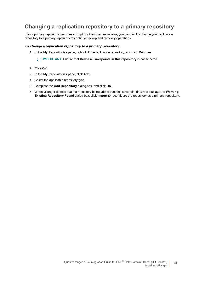### **Changing a replication repository to a primary repository**

If your primary repository becomes corrupt or otherwise unavailable, you can quickly change your replication repository to a primary repository to continue backup and recovery operations.

#### *To change a replication repository to a primary repository:*

- 1 In the **My Repositories** pane, right-click the replication repository, and click **Remove**.
	- **I IMPORTANT:** Ensure that Delete all savepoints in this repository is not selected.
- 2 Click **OK**.
- 3 In the **My Repositories** pane, click **Add**.
- 4 Select the applicable repository type.
- 5 Complete the **Add Repository** dialog box, and click **OK**.
- <span id="page-23-0"></span>6 When vRanger detects that the repository being added contains savepoint data and displays the **Warning: Existing Repository Found** dialog box, click **Import** to reconfigure the repository as a primary repository.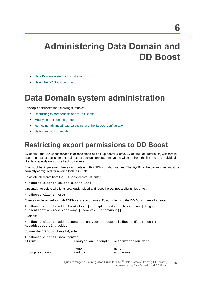# <span id="page-24-0"></span>**Administering Data Domain and DD Boost**

- **•** [Data Domain system administration](#page-24-1)
- **•** [Using the DD Boost commands](#page-26-2)

# <span id="page-24-1"></span>**Data Domain system administration**

This topic discusses the following subtopics:

- **•** [Restricting export permissions to DD Boost](#page-24-2)
- **•** [Modifying an interface group](#page-25-0)
- **•** [Removing advanced load balancing and link failover configuration](#page-26-0)
- **•** [Setting network timeouts](#page-26-1)

## <span id="page-24-2"></span>**Restricting export permissions to DD Boost**

By default, the DD Boost service is accessible to all backup server clients. By default, an asterisk (\*) wildcard is used. To restrict access to a certain set of backup servers, remove the wildcard from the list and add individual clients to specify only those backup servers.

The list of backup-server clients can contain both FQDNs or short names. The FQDN of the backup host must be correctly configured for reverse lookup in DNS.

To delete all clients from the DD Boost clients list, enter:

# ddboost clients delete client-list

Optionally, to delete all clients previously added and reset the DD Boost clients list, enter:

# ddboost client reset

Clients can be added as both FQDNs and short names. To add clients to the DD Boost clients list, enter:

```
# ddboost clients add client-list [encryption-strength {medium | high} 
authentication-mode {one-way | two-way | anonymous}]
```
Example:

# ddboost clients add ddboost-dl.emc.com ddboost-dlddboost-dl.emc.com : Addedddboost-dl : Added

To view the DD Boost clients list, enter:

| # ddboost clients show config |                                         |           |
|-------------------------------|-----------------------------------------|-----------|
| Client                        | Encryption Strength Authentication Mode |           |
|                               |                                         |           |
| $\star$                       | none                                    | none      |
| *.corp.emc.com                | medium                                  | anonymous |

Quest vRanger 7.6.4 Integration Guide for EMC<sup>®</sup> Data Domain<sup>®</sup> Boost (DD Boost<sup>™)</sup> Administering Data Domain and DD Boost

**25**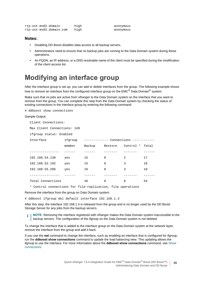| rtp-ost-ms02.domain     | high |
|-------------------------|------|
| rtp-ost-ms02.domain.com | high |

anonymous anonymous

#### **Notes:**

- **•** Disabling DD Boost disables data access to all backup servers.
- **•** Administrators need to ensure that no backup jobs are running to the Data Domain system during these operations.
- **•** An FQDN, an IP address, or a DNS resolvable name of the client must be specified during the modification of the client access list.

## <span id="page-25-0"></span>**Modifying an interface group**

After the interface group is set up, you can add or delete interfaces from the group. The following example shows how to remove an interface from the configured interface group on the EMC<sup>®</sup> Data Domain<sup>®</sup> system.

Make sure that no jobs are active from vRanger to the Data Domain system on the interface that you want to remove from the group. You can complete this step from the Data Domain system by checking the status of existing connections in the interface group by entering the following command:

# ddboost show connections

#### Sample Output:

Client Connections:

```
Max Client Connections: 149
```
ifgroup status: Enabled

| Interface         | ifgroup | Connections<br>------------- |          |                   |       |
|-------------------|---------|------------------------------|----------|-------------------|-------|
|                   | member  | Backup                       | Restore  | Control<br>$\ast$ | Total |
|                   |         |                              |          |                   |       |
| 192.168.54.138    | yes     | 15                           | $\Omega$ | 2                 | 17    |
| 192.168.52.192    | yes     | 15                           | $\Omega$ | 3                 | 18    |
| 192.168.55.206    | yes     | 16                           | $\Omega$ | 3                 | 19    |
|                   |         |                              |          |                   |       |
| Total Connections |         | 46                           | O        | 8                 | 54    |

\* Control connections for file-replication, file operations

#### Remove the interface from the group on Data Domain system:

# ddboost ifgroup del default interface 192.168.1.3

After this step, the interface 192.168.1.3 is released from the group and is no longer used by the DD Boost Storage Server for any jobs from the backup servers.

**i** | NOTE: Removing the interface registered with vRanger makes the Data Domain system inaccessible to the backup servers. The configuration of the ifgroup on the Data Domain system is not deleted.

To change the interface that is added to the interface group on the Data Domain system at the network layer, remove the interface from the group and add it back.

If you use the **net** command to change the interface, such as enabling an interface that is configured for ifgroup, run the **ddboost show connections** command to update the load balancing view. This updating allows the ifgroup to use the interface. For more information about the **ddboost show connections** command, see [Show](#page-30-0)  [connections.](#page-30-0)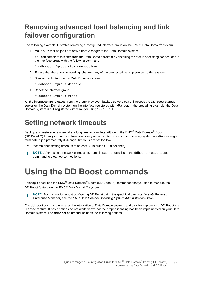## <span id="page-26-0"></span>**Removing advanced load balancing and link failover configuration**

The following example illustrates removing a configured interface group on the EMC<sup>®</sup> Data Domain<sup>®</sup> system.

1 Make sure that no jobs are active from vRanger to the Data Domain system.

You can complete this step from the Data Domain system by checking the status of existing connections in the interface group with the following command:

- # ddboost ifgroup show connections
- 2 Ensure that there are no pending jobs from any of the connected backup servers to this system.
- 3 Disable the feature on the Data Domain system:
	- # ddboost ifgroup disable
- 4 Reset the interface group:
	- # ddboost ifgroup reset

All the interfaces are released from the group. However, backup servers can still access the DD Boost storage server on the Data Domain system on the interface registered with vRanger. In the preceding example, the Data Domain system is still registered with vRanger using 192.168.1.1.

## <span id="page-26-1"></span>**Setting network timeouts**

Backup and restore jobs often take a long time to complete. Although the EMC<sup>®</sup> Data Domain<sup>®</sup> Boost (DD Boost™) Library can recover from temporary network interruptions, the operating system on vRanger might terminate a job prematurely if vRanger timeouts are set too low.

EMC recommends setting timeouts to at least 30 minutes (1800 seconds).

**NOTE:** After losing a network connection, administrators should issue the ddboost reset stats command to clear job connections.

# <span id="page-26-3"></span><span id="page-26-2"></span>**Using the DD Boost commands**

This topic describes the EMC<sup>®</sup> Data Domain<sup>®</sup> Boost (DD Boost<sup>™</sup>) commands that you use to manage the DD Boost feature on the EMC<sup>®</sup> Data Domain<sup>®</sup> system.

**NOTE:** For information about configuring DD Boost using the graphical user interface (GUI)-based ÷ Enterprise Manager, see the *EMC Data Domain Operating System Administration Guide*.

The **ddboost** command manages the integration of Data Domain systems and disk backup devices. DD Boost is a licensed feature. If basic options do not work, verify that the proper licensing has been implemented on your Data Domain system. The **ddboost** command includes the following options.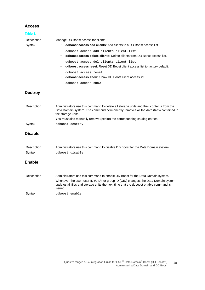#### **Access**

| Table 1.              |                                                                                                                                                                                                        |
|-----------------------|--------------------------------------------------------------------------------------------------------------------------------------------------------------------------------------------------------|
| Description           | Manage DD Boost access for clients.                                                                                                                                                                    |
| Syntax                | <b>ddboost access add clients:</b> Add clients to a DD Boost access list.<br>٠                                                                                                                         |
|                       | ddboost access add clients client-list                                                                                                                                                                 |
|                       | ddboost access delete clients: Delete clients from DD Boost access list.<br>$\bullet$                                                                                                                  |
|                       | ddboost access del clients client-list                                                                                                                                                                 |
|                       | ddboost access reset: Reset DD Boost client access list to factory default.<br>$\bullet$                                                                                                               |
|                       | ddboost access reset                                                                                                                                                                                   |
|                       | <b>ddboost access show:</b> Show DD Boost client access list.<br>$\bullet$                                                                                                                             |
|                       | ddboost access show                                                                                                                                                                                    |
| <b>Destroy</b>        |                                                                                                                                                                                                        |
| Description           | Administrators use this command to delete all storage units and their contents from the<br>Data Domain system. The command permanently removes all the data (files) contained in<br>the storage units. |
|                       | You must also manually remove (expire) the corresponding catalog entries.                                                                                                                              |
| Syntax                | ddboost destroy                                                                                                                                                                                        |
| <b>Disable</b>        |                                                                                                                                                                                                        |
| Description<br>Syntax | Administrators use this command to disable DD Boost for the Data Domain system.<br>ddboost disable                                                                                                     |
| <b>Enable</b>         |                                                                                                                                                                                                        |
| Description           | Administrators use this command to enable DD Boost for the Data Domain system.                                                                                                                         |
|                       | Whenever the user, user ID (UID), or group ID (GID) changes, the Data Domain system<br>updates all files and storage units the next time that the ddboost enable command is<br>issued.                 |
| Syntax                | ddboost enable                                                                                                                                                                                         |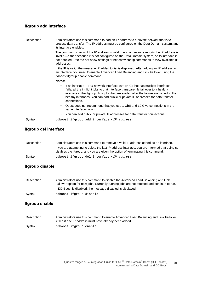### **Ifgroup add interface**

| Description | Administrators use this command to add an IP address to a private network that is to<br>process data transfer. The IP address must be configured on the Data Domain system, and<br>its interface enabled.                                                                                                                                                                           |  |  |
|-------------|-------------------------------------------------------------------------------------------------------------------------------------------------------------------------------------------------------------------------------------------------------------------------------------------------------------------------------------------------------------------------------------|--|--|
|             | The command checks if the IP address is valid. If not, a message reports the IP address is<br>invalid—either because it is not configured on the Data Domain system, or its interface is<br>not enabled. Use the net show settings or net show config commands to view available IP<br>addresses.                                                                                   |  |  |
|             | If the IP is valid, the message IP added to list is displayed. After adding an IP address as<br>an interface, you need to enable Advanced Load Balancing and Link Failover using the<br>ddboost ifgroup enable command.                                                                                                                                                             |  |  |
|             | Notes:                                                                                                                                                                                                                                                                                                                                                                              |  |  |
|             | If an interface—or a network interface card (NIC) that has multiple interfaces—<br>$\bullet$<br>fails, all the in-flight jobs to that interface transparently fail over to a healthy<br>interface in the ifgroup. Any jobs that are started after the failure are routed to the<br>healthy interfaces. You can add public or private IP addresses for data transfer<br>connections. |  |  |
|             | • Quest does not recommend that you use 1 GbE and 10 Give connections in the<br>same interface group.                                                                                                                                                                                                                                                                               |  |  |
|             | You can add public or private IP addresses for data transfer connections.<br>٠                                                                                                                                                                                                                                                                                                      |  |  |
| Syntax      | ddboost ifgroup add interface <ip address=""></ip>                                                                                                                                                                                                                                                                                                                                  |  |  |

### **Ifgroup del interface**

| Description | Administrators use this command to remove a valid IP address added as an interface.                                                                                               |
|-------------|-----------------------------------------------------------------------------------------------------------------------------------------------------------------------------------|
|             | If you are attempting to delete the last IP address interface, you are informed that doing so<br>disables the if group, and you are given the option of terminating this command. |
| Syntax      | ddboost ifgroup del interface <ip address=""></ip>                                                                                                                                |

### **Ifgroup disable**

| Description | Administrators use this command to disable the Advanced Load Balancing and Link            |
|-------------|--------------------------------------------------------------------------------------------|
|             | Failover option for new jobs. Currently running jobs are not affected and continue to run. |
|             | If DD Boost is disabled, the message disabled is displayed.                                |
| Syntax      | ddboost ifgroup disable                                                                    |

### **Ifgroup enable**

| Description | Administrators use this command to enable Advanced Load Balancing and Link Failover.<br>At least one IP address must have already been added. |
|-------------|-----------------------------------------------------------------------------------------------------------------------------------------------|
| Syntax      | ddboost ifgroup enable                                                                                                                        |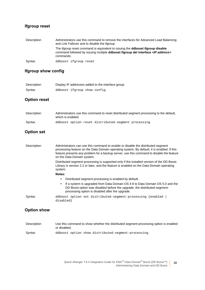### **Ifgroup reset**

| Description | Administrators use this command to remove the interfaces for Advanced Load Balancing<br>and Link Failover and to disable the ifgroup.                                                                |
|-------------|------------------------------------------------------------------------------------------------------------------------------------------------------------------------------------------------------|
|             | The ifgroup reset command is equivalent to issuing the <b>ddboost ifgroup disable</b><br>command followed by issuing multiple <b>ddboost ifgroup del interface</b> < <i>IP</i> address><br>commands. |
| Syntax      | ddboost ifgroup reset                                                                                                                                                                                |

### **Ifgroup show config**

| Description |                             | Display IP addresses added to the interface group. |
|-------------|-----------------------------|----------------------------------------------------|
| Syntax      | ddboost ifgroup show config |                                                    |

#### **Option reset**

| Description | Administrators use this command to reset distributed segment processing to the default,<br>which is enabled. |
|-------------|--------------------------------------------------------------------------------------------------------------|
| Syntax      | ddboost option reset distributed-seqment processing                                                          |

#### **Option set**

| Description | Administrators can use this command to enable or disable the distributed segment<br>processing feature on the Data Domain operating system. By default, it is enabled. If this<br>feature presents any problem for a backup server, use this command to disable the feature<br>on the Data Domain system. |
|-------------|-----------------------------------------------------------------------------------------------------------------------------------------------------------------------------------------------------------------------------------------------------------------------------------------------------------|
|             | Distributed segment processing is supported only if the installed version of the DD Boost<br>Library is version 2.2 or later, and the feature is enabled on the Data Domain operating<br>system.                                                                                                          |
|             | Notes:                                                                                                                                                                                                                                                                                                    |
|             | Distributed segment processing is enabled by default.                                                                                                                                                                                                                                                     |
|             | If a system is upgraded from Data Domain OS 4.9 to Data Domain OS 5.0 and the<br>DD Boost option was disabled before the upgrade, the distributed-segment-<br>processing option is disabled after the upgrade.                                                                                            |
| Syntax      | ddboost option set distributed-seqment-processing {enabled<br>disabled}                                                                                                                                                                                                                                   |

### **Option show**

| Description | Use this command to show whether the distributed segment processing option is enabled<br>or disabled. |
|-------------|-------------------------------------------------------------------------------------------------------|
| Svntax      | ddboost option show distributed-seqment-processing                                                    |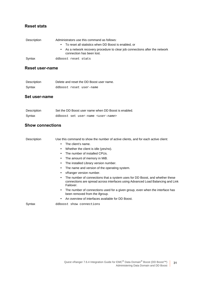#### **Reset stats**

| Description | Administrators use this command as follows:                                                                          |
|-------------|----------------------------------------------------------------------------------------------------------------------|
|             | • To reset all statistics when DD Boost is enabled, or                                                               |
|             | As a network recovery procedure to clear job connections after the network<br>$\bullet$<br>connection has been lost. |
| Syntax      | ddboost reset stats                                                                                                  |

#### **Reset user-name**

| Description | Delete and reset the DD Boost user name. |
|-------------|------------------------------------------|
| Syntax      | ddboost reset user-name                  |

#### **Set user-name**

| Description | Set the DD Boost user name when DD Boost is enabled. |
|-------------|------------------------------------------------------|
| Syntax      | ddboost set user-name <user-name></user-name>        |

#### <span id="page-30-0"></span>**Show connections**

| Description | Use this command to show the number of active clients, and for each active client:                                                                                                |
|-------------|-----------------------------------------------------------------------------------------------------------------------------------------------------------------------------------|
|             | The client's name.<br>$\bullet$                                                                                                                                                   |
|             | Whether the client is idle (yes/no).<br>٠                                                                                                                                         |
|             | The number of installed CPUs.<br>٠                                                                                                                                                |
|             | The amount of memory in MiB.<br>٠                                                                                                                                                 |
|             | The installed Library version number.<br>٠                                                                                                                                        |
|             | The name and version of the operating system.                                                                                                                                     |
|             | vRanger version number.<br>٠                                                                                                                                                      |
|             | The number of connections that a system uses for DD Boost, and whether these<br>٠<br>connections are spread across interfaces using Advanced Load Balancing and Link<br>Failover. |
|             | The number of connections used for a given group, even when the interface has<br>$\bullet$<br>been removed from the ifgroup.                                                      |
|             | An overview of interfaces available for DD Boost.<br>٠                                                                                                                            |
| Syntax      | ddboost show connections                                                                                                                                                          |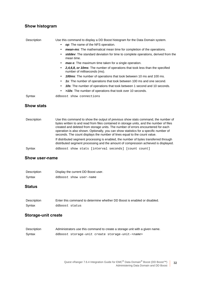### **Show histogram**

| Description       | Use this command to display a DD Boost histogram for the Data Domain system.                                 |
|-------------------|--------------------------------------------------------------------------------------------------------------|
|                   | op: The name of the NFS operation.                                                                           |
|                   | <b>mean-ms:</b> The mathematical mean time for completion of the operations.                                 |
|                   | stddev: The standard deviation for time to complete operations, derived from the<br>mean time.               |
|                   | <b>max-s:</b> The maximum time taken for a single operation.<br>$\bullet$                                    |
|                   | 2,4,6,8, or 10ms: The number of operations that took less than the specified<br>number of milliseconds (ms). |
|                   | 100ms: The number of operations that took between 10 ms and 100 ms.<br>٠                                     |
|                   | 1s: The number of operations that took between 100 ms and one second.                                        |
|                   | 10s: The number of operations that took between 1 second and 10 seconds.<br>٠                                |
|                   | >10s: The number of operations that took over 10 seconds.<br>$\bullet$                                       |
| Syntax            | ddboost show connections                                                                                     |
| <b>Show stats</b> |                                                                                                              |

| Description | Use this command to show the output of previous show stats command, the number of<br>bytes written to and read from files contained in storage units, and the number of files<br>created and deleted from storage units. The number of errors encountered for each<br>operation is also shown. Optionally, you can show statistics for a specific number of<br>seconds. The count displays the number of lines equal to the count value. |
|-------------|------------------------------------------------------------------------------------------------------------------------------------------------------------------------------------------------------------------------------------------------------------------------------------------------------------------------------------------------------------------------------------------------------------------------------------------|
|             | If distributed segment processing is enabled, the number of bytes transferred through<br>distributed segment processing and the amount of compression achieved is displayed.                                                                                                                                                                                                                                                             |
| Syntax      | ddboost show stats [interval seconds] [count count]                                                                                                                                                                                                                                                                                                                                                                                      |

#### **Show user-name**

| Description | Display the current DD Boost user. |
|-------------|------------------------------------|
| Syntax      | ddboost show user-name             |

#### **Status**

| Description | Enter this command to determine whether DD Boost is enabled or disabled. |
|-------------|--------------------------------------------------------------------------|
| Syntax      | ddboost status                                                           |

### **Storage-unit create**

| Description | Administrators use this command to create a storage unit with a given name. |
|-------------|-----------------------------------------------------------------------------|
| Syntax      | ddboost storage-unit create storage-unit- <name></name>                     |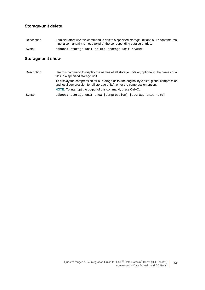### **Storage-unit delete**

| Description | Administrators use this command to delete a specified storage unit and all its contents. You |
|-------------|----------------------------------------------------------------------------------------------|
|             | must also manually remove (expire) the corresponding catalog entries.                        |
| Syntax      | ddboost storage-unit delete storage-unit- <name></name>                                      |

### **Storage-unit show**

| Description | Use this command to display the names of all storage units or, optionally, the names of all<br>files in a specified storage unit.                                            |  |
|-------------|------------------------------------------------------------------------------------------------------------------------------------------------------------------------------|--|
|             | To display the compression for all storage units (the original byte size, global compression,<br>and local compression for all storage units), enter the compression option. |  |
|             | <b>NOTE:</b> To interrupt the output of this command, press Ctrl+C.                                                                                                          |  |
| Syntax      | ddboost storage-unit show [compression] [storage-unit-name]                                                                                                                  |  |